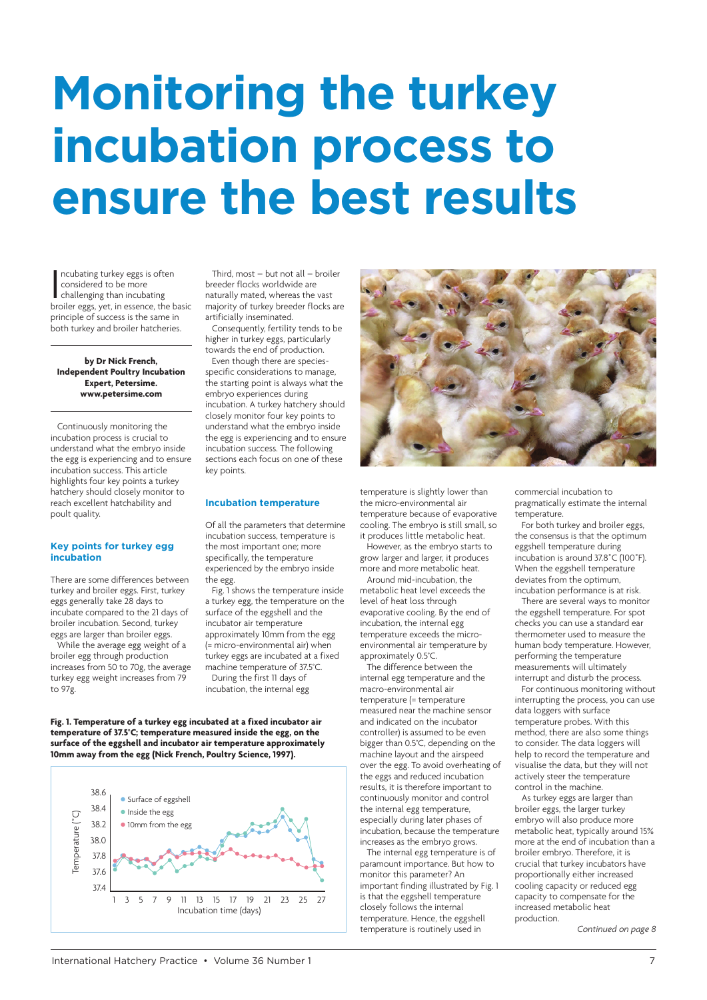# **Monitoring the turkey incubation process to ensure the best results**

Incubating turkey eggs is often<br>
considered to be more<br>
challenging than incubating<br>
broiler eggs, yet, in essence, the basic ncubating turkey eggs is often considered to be more challenging than incubating principle of success is the same in both turkey and broiler hatcheries.

**by Dr Nick French, Independent Poultry Incubation Expert, Petersime. www.petersime.com**

Continuously monitoring the incubation process is crucial to underst[and what the embryo](http://www.petersime.com) inside the egg is experiencing and to ensure incubation success. This article highlights four key points a turkey hatchery should closely monitor to reach excellent hatchability and poult quality.

#### **Key points for turkey egg incubation**

There are some differences between turkey and broiler eggs. First, turkey eggs generally take 28 days to incubate compared to the 21 days of broiler incubation. Second, turkey eggs are larger than broiler eggs.

While the average egg weight of a broiler egg through production increases from 50 to 70g, the average turkey egg weight increases from 79 to 97g.

Third, most – but not all – broiler breeder flocks worldwide are naturally mated, whereas the vast majority of turkey breeder flocks are artificially inseminated.

Consequently, fertility tends to be higher in turkey eggs, particularly towards the end of production.

Even though there are speciesspecific considerations to manage, the starting point is always what the embryo experiences during incubation. A turkey hatchery should closely monitor four key points to understand what the embryo inside the egg is experiencing and to ensure incubation success. The following sections each focus on one of these key points.

#### **Incubation temperature**

Of all the parameters that determine incubation success, temperature is the most important one; more specifically, the temperature experienced by the embryo inside the egg.

Fig. 1 shows the temperature inside a turkey egg, the temperature on the surface of the eggshell and the incubator air temperature approximately 10mm from the egg (= micro-environmental air) when turkey eggs are incubated at a fixed machine temperature of 37.5°C.

During the first 11 days of incubation, the internal egg

**Fig. 1. Temperature of a turkey egg incubated at a fixed incubator air temperature of 37.5°C; temperature measured inside the egg, on the surface of the eggshell and incubator air temperature approximately 10mm away from the egg (Nick French, Poultry Science, 1997).**





temperature is slightly lower than the micro-environmental air temperature because of evaporative cooling. The embryo is still small, so it produces little metabolic heat. However, as the embryo starts to grow larger and larger, it produces more and more metabolic heat.

Around mid-incubation, the metabolic heat level exceeds the level of heat loss through evaporative cooling. By the end of incubation, the internal egg temperature exceeds the microenvironmental air temperature by approximately 0.5°C.

The difference between the internal egg temperature and the macro-environmental air temperature (= temperature measured near the machine sensor and indicated on the incubator controller) is assumed to be even bigger than 0.5°C, depending on the machine layout and the airspeed over the egg. To avoid overheating of the eggs and reduced incubation results, it is therefore important to continuously monitor and control the internal egg temperature, especially during later phases of incubation, because the temperature increases as the embryo grows.

The internal egg temperature is of paramount importance. But how to monitor this parameter? An important finding illustrated by Fig. 1 is that the eggshell temperature closely follows the internal temperature. Hence, the eggshell temperature is routinely used in

commercial incubation to pragmatically estimate the internal temperature.

For both turkey and broiler eggs, the consensus is that the optimum eggshell temperature during incubation is around 37.8˚C (100˚F). When the eggshell temperature deviates from the optimum, incubation performance is at risk.

There are several ways to monitor the eggshell temperature. For spot checks you can use a standard ear thermometer used to measure the human body temperature. However, performing the temperature measurements will ultimately interrupt and disturb the process.

For continuous monitoring without interrupting the process, you can use data loggers with surface temperature probes. With this method, there are also some things to consider. The data loggers will help to record the temperature and visualise the data, but they will not actively steer the temperature control in the machine.

As turkey eggs are larger than broiler eggs, the larger turkey embryo will also produce more metabolic heat, typically around 15% more at the end of incubation than a broiler embryo. Therefore, it is crucial that turkey incubators have proportionally either increased cooling capacity or reduced egg capacity to compensate for the increased metabolic heat production.

*Continued on page 8*